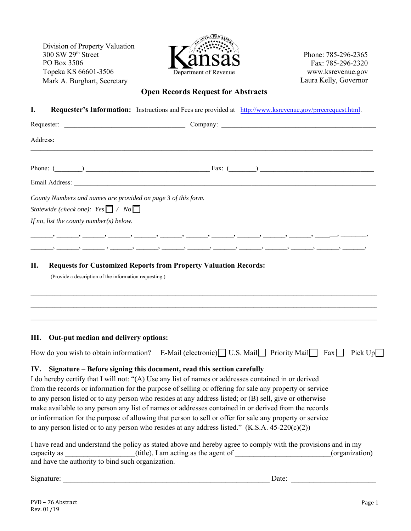Division of Property Valuation  $300$  SW  $29<sup>th</sup>$  Street PO Box 3506 Topeka KS 66601-3506



Phone: 785-296-2365 Fax: 785-296-2320 www.ksrevenue.gov Laura Kelly, Governor

## Mark A. Burghart, Secretary

### **Open Records Request for Abstracts**

| I.       | Requester's Information: Instructions and Fees are provided at http://www.ksrevenue.gov/prrecrequest.html.                                                                                                                                                                                                                                                                                                                                                                                                                                                                                                                                                                                                                                                                                                                                                    |                                                        |
|----------|---------------------------------------------------------------------------------------------------------------------------------------------------------------------------------------------------------------------------------------------------------------------------------------------------------------------------------------------------------------------------------------------------------------------------------------------------------------------------------------------------------------------------------------------------------------------------------------------------------------------------------------------------------------------------------------------------------------------------------------------------------------------------------------------------------------------------------------------------------------|--------------------------------------------------------|
|          |                                                                                                                                                                                                                                                                                                                                                                                                                                                                                                                                                                                                                                                                                                                                                                                                                                                               |                                                        |
| Address: |                                                                                                                                                                                                                                                                                                                                                                                                                                                                                                                                                                                                                                                                                                                                                                                                                                                               |                                                        |
|          | Phone: $(\_\_\_\_\_$                                                                                                                                                                                                                                                                                                                                                                                                                                                                                                                                                                                                                                                                                                                                                                                                                                          |                                                        |
|          |                                                                                                                                                                                                                                                                                                                                                                                                                                                                                                                                                                                                                                                                                                                                                                                                                                                               |                                                        |
|          | County Numbers and names are provided on page 3 of this form.<br>Statewide (check one): $Yes \Box / No \Box$<br>If no, list the county number( $s$ ) below.                                                                                                                                                                                                                                                                                                                                                                                                                                                                                                                                                                                                                                                                                                   |                                                        |
|          | فستنسخ فسيست فسيستنبذ فسيست فسيست فسيستنبذ فسيست فسيست فسننسخ فسنست فسيستنبذ فتستنبذ فيستنبذ<br>ويستنسد وسنست ويستنسد ويستنسد ويستنسد وسنست ويستنسد والمستنسد ويستنسد ويستنسد ويستنسد                                                                                                                                                                                                                                                                                                                                                                                                                                                                                                                                                                                                                                                                         |                                                        |
| П.       | <b>Requests for Customized Reports from Property Valuation Records:</b><br>(Provide a description of the information requesting.)<br>,我们也不会有什么。""我们的人,我们也不会有什么?""我们的人,我们也不会有什么?""我们的人,我们也不会有什么?""我们的人,我们也不会有什么?""我们的人                                                                                                                                                                                                                                                                                                                                                                                                                                                                                                                                                                                                                                         |                                                        |
| Ш.       | Out-put median and delivery options:                                                                                                                                                                                                                                                                                                                                                                                                                                                                                                                                                                                                                                                                                                                                                                                                                          |                                                        |
|          | How do you wish to obtain information? E-Mail (electronic) U.S. Mail Priority Mail Fax Pick Up                                                                                                                                                                                                                                                                                                                                                                                                                                                                                                                                                                                                                                                                                                                                                                |                                                        |
| IV.      | Signature – Before signing this document, read this section carefully<br>I do hereby certify that I will not: "(A) Use any list of names or addresses contained in or derived<br>from the records or information for the purpose of selling or offering for sale any property or service<br>to any person listed or to any person who resides at any address listed; or (B) sell, give or otherwise<br>make available to any person any list of names or addresses contained in or derived from the records<br>or information for the purpose of allowing that person to sell or offer for sale any property or service<br>to any person listed or to any person who resides at any address listed." $(K.S.A. 45-220(c)(2))$<br>I have read and understand the policy as stated above and hereby agree to comply with the provisions and in my<br>capacity as | (title), I am acting as the agent of<br>(organization) |

and have the authority to bind such organization.

Signature: \_\_\_\_\_\_\_\_\_\_\_\_\_\_\_\_\_\_\_\_\_\_\_\_\_\_\_\_\_\_\_\_\_\_\_\_\_\_\_\_\_\_\_\_\_\_\_\_\_\_\_\_\_\_\_\_ Date: \_\_\_\_\_\_\_\_\_\_\_\_\_\_\_\_\_\_\_\_\_\_\_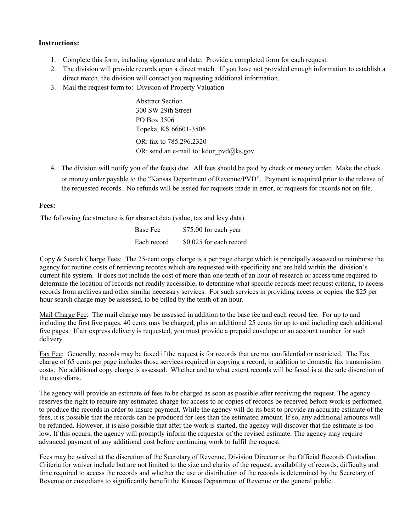#### **Instructions:**

- 1. Complete this form, including signature and date. Provide a completed form for each request.
- 2. The division will provide records upon a direct match. If you have not provided enough information to establish a direct match, the division will contact you requesting additional information.
- 3. Mail the request form to: Division of Property Valuation

Abstract Section 300 SW 29th Street PO Box 3506 Topeka, KS 66601-3506 OR: fax to 785.296.2320 OR: send an e-mail to: kdor pvd@ks.gov

4. The division will notify you of the fee(s) due. All fees should be paid by check or money order. Make the check or money order payable to the "Kansas Department of Revenue/PVD". Payment is required prior to the release of the requested records. No refunds will be issued for requests made in error, or requests for records not on file.

#### **Fees:**

The following fee structure is for abstract data (value, tax and levy data).

| <b>Base Fee</b> | \$75.00 for each year   |
|-----------------|-------------------------|
| Each record     | \$0.025 for each record |

Copy  $\&$  Search Charge Fees: The 25-cent copy charge is a per page charge which is principally assessed to reimburse the agency for routine costs of retrieving records which are requested with specificity and are held within the division's current file system. It does not include the cost of more than one-tenth of an hour of research or access time required to determine the location of records not readily accessible, to determine what specific records meet request criteria, to access records from archives and other similar necessary services. For such services in providing access or copies, the \$25 per hour search charge may be assessed, to be billed by the tenth of an hour.

Mail Charge Fee: The mail charge may be assessed in addition to the base fee and each record fee. For up to and including the first five pages, 40 cents may be charged, plus an additional 25 cents for up to and including each additional five pages. If air express delivery is requested, you must provide a prepaid envelope or an account number for such delivery.

Fax Fee: Generally, records may be faxed if the request is for records that are not confidential or restricted. The Fax charge of 65 cents per page includes those services required in copying a record, in addition to domestic fax transmission costs. No additional copy charge is assessed. Whether and to what extent records will be faxed is at the sole discretion of the custodians.

The agency will provide an estimate of fees to be charged as soon as possible after receiving the request. The agency reserves the right to require any estimated charge for access to or copies of records be received before work is performed to produce the records in order to insure payment. While the agency will do its best to provide an accurate estimate of the fees, it is possible that the records can be produced for less than the estimated amount. If so, any additional amounts will be refunded. However, it is also possible that after the work is started, the agency will discover that the estimate is too low. If this occurs, the agency will promptly inform the requestor of the revised estimate. The agency may require advanced payment of any additional cost before continuing work to fulfil the request.

Fees may be waived at the discretion of the Secretary of Revenue, Division Director or the Official Records Custodian. Criteria for waiver include but are not limited to the size and clarity of the request, availability of records, difficulty and time required to access the records and whether the use or distribution of the records is determined by the Secretary of Revenue or custodians to significantly benefit the Kansas Department of Revenue or the general public.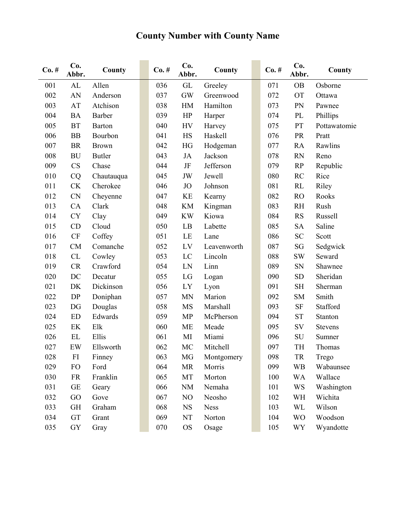# **County Number with County Name**

| $Co. \#$ | Co.<br>Abbr.           | County        | $Co. \#$ | Co.<br>Abbr.   | County      | $Co. \#$ | Co.<br>Abbr. | County         |
|----------|------------------------|---------------|----------|----------------|-------------|----------|--------------|----------------|
| 001      | AL                     | Allen         | 036      | GL             | Greeley     | 071      | <b>OB</b>    | Osborne        |
| 002      | AN                     | Anderson      | 037      | <b>GW</b>      | Greenwood   | 072      | <b>OT</b>    | Ottawa         |
| 003      | AT                     | Atchison      | 038      | HM             | Hamilton    | 073      | PN           | Pawnee         |
| 004      | <b>BA</b>              | Barber        | 039      | HP             | Harper      | 074      | PL           | Phillips       |
| 005      | <b>BT</b>              | Barton        | 040      | <b>HV</b>      | Harvey      | 075      | PT           | Pottawatomie   |
| 006      | <b>BB</b>              | Bourbon       | 041      | HS             | Haskell     | 076      | PR           | Pratt          |
| 007      | <b>BR</b>              | <b>Brown</b>  | 042      | HG             | Hodgeman    | 077      | RA           | Rawlins        |
| 008      | <b>BU</b>              | <b>Butler</b> | 043      | <b>JA</b>      | Jackson     | 078      | <b>RN</b>    | Reno           |
| 009      | CS                     | Chase         | 044      | $\rm{J}\rm{F}$ | Jefferson   | 079      | RP           | Republic       |
| 010      | CQ                     | Chautauqua    | 045      | JW             | Jewell      | 080      | RC           | Rice           |
| 011      | CK                     | Cherokee      | 046      | <b>JO</b>      | Johnson     | 081      | RL           | Riley          |
| 012      | <b>CN</b>              | Cheyenne      | 047      | KE             | Kearny      | 082      | <b>RO</b>    | Rooks          |
| 013      | CA                     | Clark         | 048      | KM             | Kingman     | 083      | <b>RH</b>    | Rush           |
| 014      | <b>CY</b>              | Clay          | 049      | <b>KW</b>      | Kiowa       | 084      | <b>RS</b>    | Russell        |
| 015      | CD                     | Cloud         | 050      | LB             | Labette     | 085      | <b>SA</b>    | Saline         |
| 016      | $\mathrm{C}\mathrm{F}$ | Coffey        | 051      | LE             | Lane        | 086      | <b>SC</b>    | Scott          |
| 017      | CM                     | Comanche      | 052      | LV             | Leavenworth | 087      | SG           | Sedgwick       |
| 018      | CL                     | Cowley        | 053      | LC             | Lincoln     | 088      | <b>SW</b>    | Seward         |
| 019      | CR                     | Crawford      | 054      | LN             | Linn        | 089      | SN           | Shawnee        |
| 020      | DC                     | Decatur       | 055      | LG             | Logan       | 090      | <b>SD</b>    | Sheridan       |
| 021      | DK                     | Dickinson     | 056      | LY             | Lyon        | 091      | <b>SH</b>    | Sherman        |
| 022      | DP                     | Doniphan      | 057      | <b>MN</b>      | Marion      | 092      | <b>SM</b>    | Smith          |
| 023      | DG                     | Douglas       | 058      | MS             | Marshall    | 093      | SF           | Stafford       |
| 024      | ${\rm ED}$             | Edwards       | 059      | <b>MP</b>      | McPherson   | 094      | <b>ST</b>    | Stanton        |
| 025      | EK                     | Elk           | 060      | <b>ME</b>      | Meade       | 095      | SV           | <b>Stevens</b> |
| 026      | $\mathbf{EL}$          | Ellis         | 061      | MI             | Miami       | 096      | SU           | Sumner         |
| 027      | EW                     | Ellsworth     | 062      | MC             | Mitchell    | 097      | TH           | Thomas         |
| 028      | FI                     | Finney        | 063      | MG             | Montgomery  | 098      | <b>TR</b>    | Trego          |
| 029      | FO                     | Ford          | 064      | MR             | Morris      | 099      | <b>WB</b>    | Wabaunsee      |
| 030      | <b>FR</b>              | Franklin      | 065      | MT             | Morton      | 100      | <b>WA</b>    | Wallace        |
| 031      | $\operatorname{GE}$    | Geary         | 066      | <b>NM</b>      | Nemaha      | 101      | <b>WS</b>    | Washington     |
| 032      | GO                     | Gove          | 067      | NO             | Neosho      | 102      | WH           | Wichita        |
| 033      | GH                     | Graham        | 068      | <b>NS</b>      | <b>Ness</b> | 103      | WL           | Wilson         |
| 034      | GT                     | Grant         | 069      | NT             | Norton      | 104      | <b>WO</b>    | Woodson        |
| 035      | ${\rm GY}$             | Gray          | 070      | <b>OS</b>      | Osage       | 105      | <b>WY</b>    | Wyandotte      |